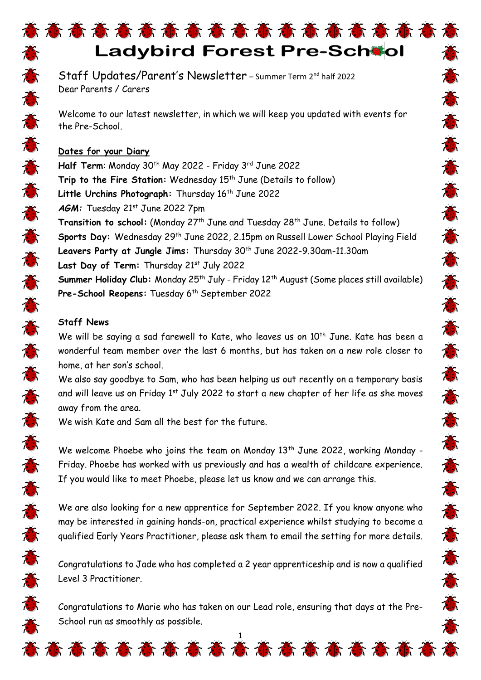# 意意意意意意意意意意意意意意意意意意 **Ladybird Forest Pre-School**

Staff Updates/Parent's Newsletter - summer Term 2<sup>nd</sup> half 2022 Dear Parents / Carers

Welcome to our latest newsletter, in which we will keep you updated with events for the Pre-School.

### **Dates for your Diary**

**Half Term:** Monday 30<sup>th</sup> May 2022 - Friday 3<sup>rd</sup> June 2022 Trip to the Fire Station: Wednesday 15<sup>th</sup> June (Details to follow) Little Urchins Photograph: Thursday 16<sup>th</sup> June 2022 AGM: Tuesday 21<sup>st</sup> June 2022 7pm **Transition to school:** (Monday 27<sup>th</sup> June and Tuesday 28<sup>th</sup> June. Details to follow) **Sports Day:** Wednesday 29th June 2022, 2.15pm on Russell Lower School Playing Field **Leavers Party at Jungle Jims:** Thursday 30th June 2022-9.30am-11.30am Last Day of Term: Thursday 21st July 2022 **Summer Holiday Club:** Monday 25<sup>th</sup> July - Friday 12<sup>th</sup> August (Some places still available) Pre-School Reopens: Tuesday 6<sup>th</sup> September 2022

苏苏苏苏苏苏苏苏苏苏苏苏

苏苏苏苏苏苏苏苏苏苏苏

高

## **Staff News**

苏苏苏苏苏苏苏苏苏苏苏苏苏苏苏苏苏苏苏苏苏

意

We will be saying a sad farewell to Kate, who leaves us on 10<sup>th</sup> June. Kate has been a wonderful team member over the last 6 months, but has taken on a new role closer to home, at her son's school.

We also say goodbye to Sam, who has been helping us out recently on a temporary basis and will leave us on Friday 1<sup>st</sup> July 2022 to start a new chapter of her life as she moves away from the area.

We wish Kate and Sam all the best for the future.

We welcome Phoebe who joins the team on Monday  $13<sup>th</sup>$  June 2022, working Monday -Friday. Phoebe has worked with us previously and has a wealth of childcare experience. If you would like to meet Phoebe, please let us know and we can arrange this.

We are also looking for a new apprentice for September 2022. If you know anyone who may be interested in gaining hands-on, practical experience whilst studying to become a qualified Early Years Practitioner, please ask them to email the setting for more details.

Congratulations to Jade who has completed a 2 year apprenticeship and is now a qualified Level 3 Practitioner.

Congratulations to Marie who has taken on our Lead role, ensuring that days at the Pre-School run as smoothly as possible.

意态意意意意意意意意意意意意意意意意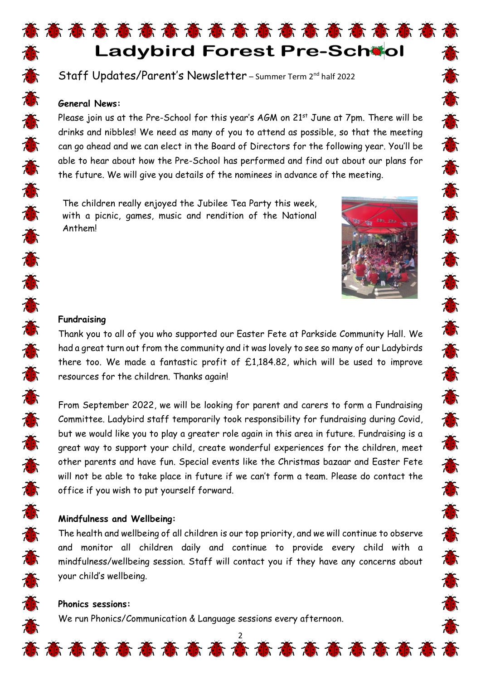## 高高普通高高高高高高高高高高高高高 **Ladybird Forest Pre-School**

Staff Updates/Parent's Newsletter - summer Term 2<sup>nd</sup> half 2022

#### **General News:**

Please join us at the Pre-School for this year's AGM on 21<sup>st</sup> June at 7pm. There will be drinks and nibbles! We need as many of you to attend as possible, so that the meeting can go ahead and we can elect in the Board of Directors for the following year. You'll be able to hear about how the Pre-School has performed and find out about our plans for the future. We will give you details of the nominees in advance of the meeting.

The children really enjoyed the Jubilee Tea Party this week, with a picnic, games, music and rendition of the National Anthem!



苏苏苏苏苏苏苏苏苏苏苏苏苏苏苏苏苏苏苏苏

#### **Fundraising**

Thank you to all of you who supported our Easter Fete at Parkside Community Hall. We had a great turn out from the community and it was lovely to see so many of our Ladybirds there too. We made a fantastic profit of £1,184.82, which will be used to improve resources for the children. Thanks again!

From September 2022, we will be looking for parent and carers to form a Fundraising Committee. Ladybird staff temporarily took responsibility for fundraising during Covid, but we would like you to play a greater role again in this area in future. Fundraising is a great way to support your child, create wonderful experiences for the children, meet other parents and have fun. Special events like the Christmas bazaar and Easter Fete will not be able to take place in future if we can't form a team. Please do contact the office if you wish to put yourself forward.

#### **Mindfulness and Wellbeing:**

The health and wellbeing of all children is our top priority, and we will continue to observe and monitor all children daily and continue to provide every child with a mindfulness/wellbeing session. Staff will contact you if they have any concerns about your child's wellbeing.

#### **Phonics sessions:**

We run Phonics/Communication & Language sessions every afternoon.